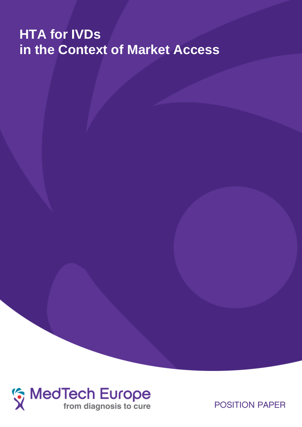# **HTA for IVDs in the Context of Market Access**



**POSITION PAPER**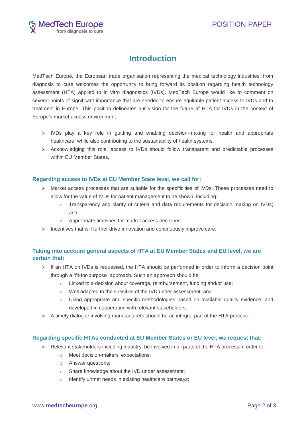

# **Introduction**

MedTech Europe, the European trade organisation representing the medical technology industries, from diagnosis to cure welcomes the opportunity to bring forward its position regarding health technology assessment (HTA) applied to in vitro diagnostics (IVDs). MedTech Europe would like to comment on several points of significant importance that are needed to ensure equitable patient access to IVDs and to treatment in Europe. This position delineates our vision for the future of HTA for IVDs in the context of Europe's market access environment.

- $\triangleright$  IVDs play a key role in guiding and enabling decision-making for health and appropriate healthcare, while also contributing to the sustainability of health systems.
- $\triangleright$  Acknowledging this role, access to IVDs should follow transparent and predictable processes within **FU** Member States

# **Regarding access to IVDs at EU Member State level, we call for:**

- $\triangleright$  Market access processes that are suitable for the specificities of IVDs. These processes need to allow for the value of IVDs for patient management to be shown, including:
	- o Transparency and clarity of criteria and data requirements for decision making on IVDs; and
	- o Appropriate timelines for market access decisions.
- $\triangleright$  Incentives that will further drive innovation and continuously improve care.

# **Taking into account general aspects of HTA at EU Member States and EU level, we are certain that:**

- $\triangleright$  If an HTA on IVDs is requested, the HTA should be performed in order to inform a decision point through a "fit-for-purpose" approach. Such an approach should be:
	- o Linked to a decision about coverage, reimbursement, funding and/or use;
	- o Well adapted to the specifics of the IVD under assessment; and
	- o Using appropriate and specific methodologies based on available quality evidence, and developed in cooperation with relevant stakeholders.
- $\triangleright$  A timely dialogue involving manufacturers should be an integral part of the HTA process.

# **Regarding specific HTAs conducted at EU Member States or EU level, we request that:**

- $\triangleright$  Relevant stakeholders including industry, be involved in all parts of the HTA process in order to:
	- o Meet decision-makers' expectations;
	- o Answer questions;
	- o Share knowledge about the IVD under assessment;
	- o Identify unmet needs in existing healthcare pathways;